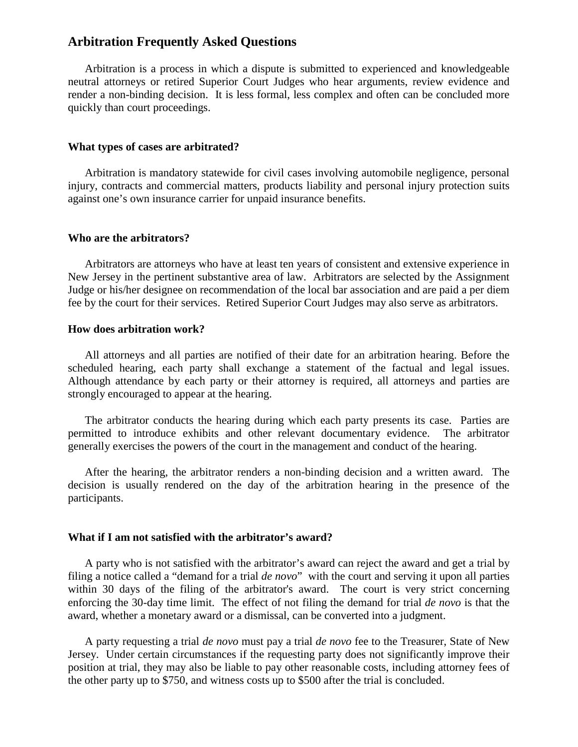# **Arbitration Frequently Asked Questions**

Arbitration is a process in which a dispute is submitted to experienced and knowledgeable neutral attorneys or retired Superior Court Judges who hear arguments, review evidence and render a non-binding decision. It is less formal, less complex and often can be concluded more quickly than court proceedings.

#### **What types of cases are arbitrated?**

Arbitration is mandatory statewide for civil cases involving automobile negligence, personal injury, contracts and commercial matters, products liability and personal injury protection suits against one's own insurance carrier for unpaid insurance benefits.

### **Who are the arbitrators?**

Arbitrators are attorneys who have at least ten years of consistent and extensive experience in New Jersey in the pertinent substantive area of law. Arbitrators are selected by the Assignment Judge or his/her designee on recommendation of the local bar association and are paid a per diem fee by the court for their services. Retired Superior Court Judges may also serve as arbitrators.

### **How does arbitration work?**

All attorneys and all parties are notified of their date for an arbitration hearing. Before the scheduled hearing, each party shall exchange a statement of the factual and legal issues. Although attendance by each party or their attorney is required, all attorneys and parties are strongly encouraged to appear at the hearing.

The arbitrator conducts the hearing during which each party presents its case. Parties are permitted to introduce exhibits and other relevant documentary evidence. The arbitrator generally exercises the powers of the court in the management and conduct of the hearing.

After the hearing, the arbitrator renders a non-binding decision and a written award. The decision is usually rendered on the day of the arbitration hearing in the presence of the participants.

#### **What if I am not satisfied with the arbitrator's award?**

A party who is not satisfied with the arbitrator's award can reject the award and get a trial by filing a notice called a "demand for a trial *de novo*" with the court and serving it upon all parties within 30 days of the filing of the arbitrator's award. The court is very strict concerning enforcing the 30-day time limit. The effect of not filing the demand for trial *de novo* is that the award, whether a monetary award or a dismissal, can be converted into a judgment.

A party requesting a trial *de novo* must pay a trial *de novo* fee to the Treasurer, State of New Jersey. Under certain circumstances if the requesting party does not significantly improve their position at trial, they may also be liable to pay other reasonable costs, including attorney fees of the other party up to \$750, and witness costs up to \$500 after the trial is concluded.